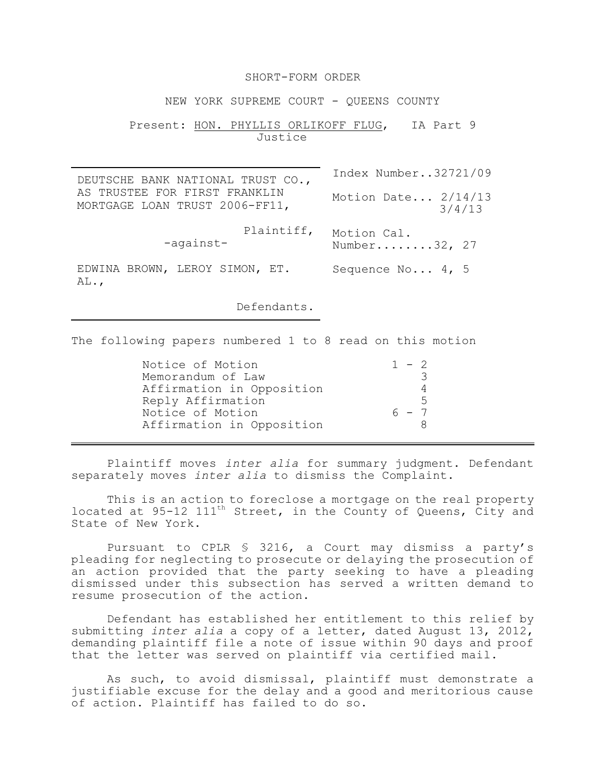## SHORT-FORM ORDER

NEW YORK SUPREME COURT - OUEENS COUNTY

## Present: HON. PHYLLIS ORLIKOFF FLUG, IA Part 9 Justice

DEUTSCHE BANK NATIONAL TRUST CO., AS TRUSTEE FOR FIRST FRANKLIN MORTGAGE LOAN TRUST 2006-FF11, Plaintiff, Motion Cal. -against-EDWINA BROWN, LEROY SIMON, ET. AL., Index Number..32721/09 Motion Date... 2/14/13 3/4/13 Number........32, 27 Sequence No... 4, 5

Defendants.

The following papers numbered 1 to 8 read on this motion

| Notice of Motion          | $1 - 2$        |
|---------------------------|----------------|
| Memorandum of Law         |                |
| Affirmation in Opposition |                |
| Reply Affirmation         | $\overline{a}$ |
| Notice of Motion          | 6 - 7          |
| Affirmation in Opposition |                |

Plaintiff moves *inter alia* for summary judgment. Defendant separately moves *inter alia* to dismiss the Complaint.

This is an action to foreclose a mortgage on the real property located at  $95-12$   $111^{\text{th}}$  Street, in the County of Queens, City and State of New York.

Pursuant to CPLR § 3216, a Court may dismiss a party's pleading for neglecting to prosecute or delaying the prosecution of an action provided that the party seeking to have a pleading dismissed under this subsection has served a written demand to resume prosecution of the action.

Defendant has established her entitlement to this relief by submitting *inter alia* a copy of a letter, dated August 13, 2012, demanding plaintiff file a note of issue within 90 days and proof that the letter was served on plaintiff via certified mail.

As such, to avoid dismissal, plaintiff must demonstrate a justifiable excuse for the delay and a good and meritorious cause of action. Plaintiff has failed to do so.